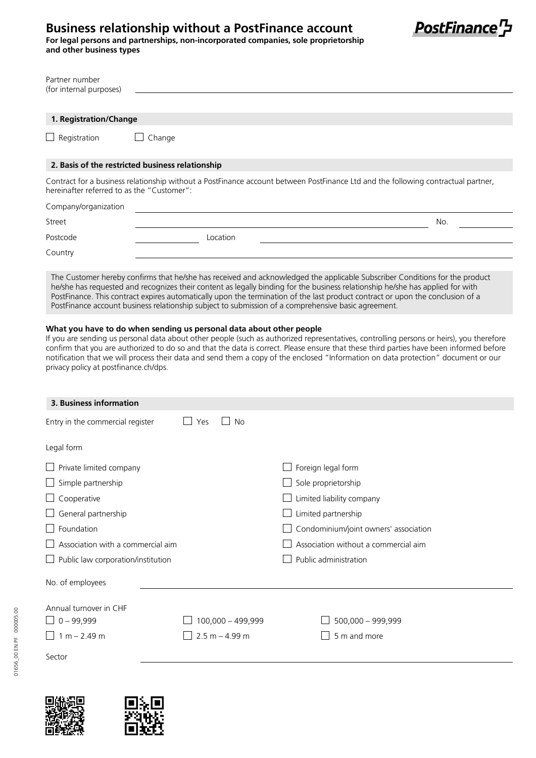## **Business relationship without a PostFinance account**

**For legal persons and partnerships, non-incorporated companies, sole proprietorship and other business types**



| Partner number<br>(for internal purposes)                                                                                                                                                                                                                                                                                                                                                                                                                                                                                                                                                                                                                                                                                                                                                                                                                                                                                                                                                                                                            |                                                  |  |  |  |
|------------------------------------------------------------------------------------------------------------------------------------------------------------------------------------------------------------------------------------------------------------------------------------------------------------------------------------------------------------------------------------------------------------------------------------------------------------------------------------------------------------------------------------------------------------------------------------------------------------------------------------------------------------------------------------------------------------------------------------------------------------------------------------------------------------------------------------------------------------------------------------------------------------------------------------------------------------------------------------------------------------------------------------------------------|--------------------------------------------------|--|--|--|
| 1. Registration/Change                                                                                                                                                                                                                                                                                                                                                                                                                                                                                                                                                                                                                                                                                                                                                                                                                                                                                                                                                                                                                               |                                                  |  |  |  |
| Registration                                                                                                                                                                                                                                                                                                                                                                                                                                                                                                                                                                                                                                                                                                                                                                                                                                                                                                                                                                                                                                         | Change                                           |  |  |  |
|                                                                                                                                                                                                                                                                                                                                                                                                                                                                                                                                                                                                                                                                                                                                                                                                                                                                                                                                                                                                                                                      | 2. Basis of the restricted business relationship |  |  |  |
| Contract for a business relationship without a PostFinance account between PostFinance Ltd and the following contractual partner,<br>hereinafter referred to as the "Customer":                                                                                                                                                                                                                                                                                                                                                                                                                                                                                                                                                                                                                                                                                                                                                                                                                                                                      |                                                  |  |  |  |
| Company/organization                                                                                                                                                                                                                                                                                                                                                                                                                                                                                                                                                                                                                                                                                                                                                                                                                                                                                                                                                                                                                                 |                                                  |  |  |  |
| Street                                                                                                                                                                                                                                                                                                                                                                                                                                                                                                                                                                                                                                                                                                                                                                                                                                                                                                                                                                                                                                               | No.                                              |  |  |  |
| Postcode                                                                                                                                                                                                                                                                                                                                                                                                                                                                                                                                                                                                                                                                                                                                                                                                                                                                                                                                                                                                                                             | Location                                         |  |  |  |
| Country                                                                                                                                                                                                                                                                                                                                                                                                                                                                                                                                                                                                                                                                                                                                                                                                                                                                                                                                                                                                                                              |                                                  |  |  |  |
| The Customer hereby confirms that he/she has received and acknowledged the applicable Subscriber Conditions for the product<br>he/she has requested and recognizes their content as legally binding for the business relationship he/she has applied for with<br>PostFinance. This contract expires automatically upon the termination of the last product contract or upon the conclusion of a<br>PostFinance account business relationship subject to submission of a comprehensive basic agreement.<br>What you have to do when sending us personal data about other people<br>If you are sending us personal data about other people (such as authorized representatives, controlling persons or heirs), you therefore<br>confirm that you are authorized to do so and that the data is correct. Please ensure that these third parties have been informed before<br>notification that we will process their data and send them a copy of the enclosed "Information on data protection" document or our<br>privacy policy at postfinance ch/dps. |                                                  |  |  |  |

| 3. Business information                                                   |                   |                                       |  |  |
|---------------------------------------------------------------------------|-------------------|---------------------------------------|--|--|
| Entry in the commercial register                                          | Yes<br><b>No</b>  |                                       |  |  |
| Legal form                                                                |                   |                                       |  |  |
| Private limited company                                                   |                   | Foreign legal form                    |  |  |
| Simple partnership                                                        |                   | Sole proprietorship                   |  |  |
| Cooperative                                                               |                   | Limited liability company             |  |  |
| General partnership                                                       |                   | Limited partnership                   |  |  |
| Foundation                                                                |                   | Condominium/joint owners' association |  |  |
| Association with a commercial aim<br>Association without a commercial aim |                   |                                       |  |  |
| Public law corporation/institution                                        |                   | Public administration                 |  |  |
| No. of employees                                                          |                   |                                       |  |  |
| Annual turnover in CHF                                                    |                   |                                       |  |  |
| $0 - 99,999$                                                              | 100,000 - 499,999 | 500,000 - 999,999                     |  |  |
| $1 m - 2.49 m$                                                            | $2.5 m - 4.99 m$  | 5 m and more                          |  |  |
| Sector                                                                    |                   |                                       |  |  |

01656\_00 EN PF 000005.00

01656\_00 EN PF 000005.00